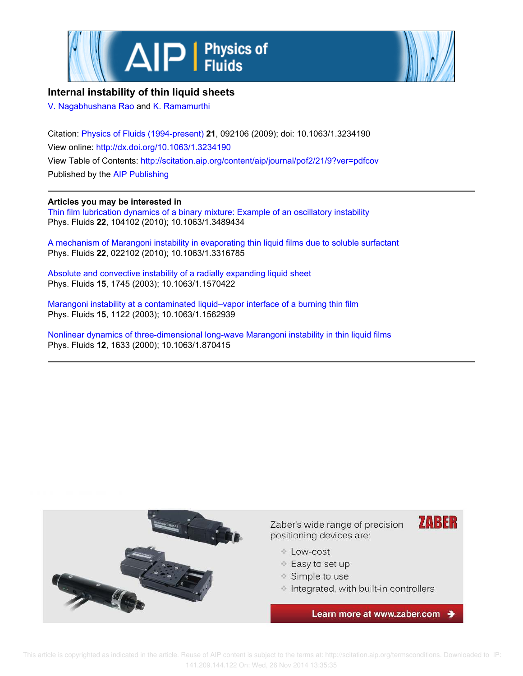



# **Internal instability of thin liquid sheets**

V. Nagabhushana Rao and K. Ramamurthi

Citation: Physics of Fluids (1994-present) **21**, 092106 (2009); doi: 10.1063/1.3234190 View online: http://dx.doi.org/10.1063/1.3234190 View Table of Contents: http://scitation.aip.org/content/aip/journal/pof2/21/9?ver=pdfcov Published by the AIP Publishing

## **Articles you may be interested in**

Thin film lubrication dynamics of a binary mixture: Example of an oscillatory instability Phys. Fluids **22**, 104102 (2010); 10.1063/1.3489434

A mechanism of Marangoni instability in evaporating thin liquid films due to soluble surfactant Phys. Fluids **22**, 022102 (2010); 10.1063/1.3316785

Absolute and convective instability of a radially expanding liquid sheet Phys. Fluids **15**, 1745 (2003); 10.1063/1.1570422

Marangoni instability at a contaminated liquid–vapor interface of a burning thin film Phys. Fluids **15**, 1122 (2003); 10.1063/1.1562939

Nonlinear dynamics of three-dimensional long-wave Marangoni instability in thin liquid films Phys. Fluids **12**, 1633 (2000); 10.1063/1.870415

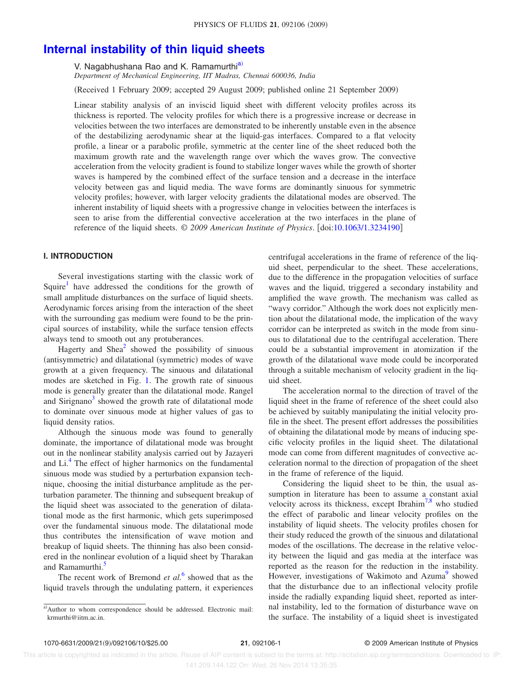# **Internal instability of thin liquid sheets**

V. Nagabhushana Rao and K. Ramamurthi<sup>a)</sup> *Department of Mechanical Engineering, IIT Madras, Chennai 600036, India*

(Received 1 February 2009; accepted 29 August 2009; published online 21 September 2009)

Linear stability analysis of an inviscid liquid sheet with different velocity profiles across its thickness is reported. The velocity profiles for which there is a progressive increase or decrease in velocities between the two interfaces are demonstrated to be inherently unstable even in the absence of the destabilizing aerodynamic shear at the liquid-gas interfaces. Compared to a flat velocity profile, a linear or a parabolic profile, symmetric at the center line of the sheet reduced both the maximum growth rate and the wavelength range over which the waves grow. The convective acceleration from the velocity gradient is found to stabilize longer waves while the growth of shorter waves is hampered by the combined effect of the surface tension and a decrease in the interface velocity between gas and liquid media. The wave forms are dominantly sinuous for symmetric velocity profiles; however, with larger velocity gradients the dilatational modes are observed. The inherent instability of liquid sheets with a progressive change in velocities between the interfaces is seen to arise from the differential convective acceleration at the two interfaces in the plane of reference of the liquid sheets. © *2009 American Institute of Physics*. doi:10.1063/1.3234190

## **I. INTRODUCTION**

Several investigations starting with the classic work of Squire<sup>1</sup> have addressed the conditions for the growth of small amplitude disturbances on the surface of liquid sheets. Aerodynamic forces arising from the interaction of the sheet with the surrounding gas medium were found to be the principal sources of instability, while the surface tension effects always tend to smooth out any protuberances.

Hagerty and  $Shea^2$  showed the possibility of sinuous (antisymmetric) and dilatational (symmetric) modes of wave growth at a given frequency. The sinuous and dilatational modes are sketched in Fig. 1. The growth rate of sinuous mode is generally greater than the dilatational mode. Rangel and Sirignano<sup>3</sup> showed the growth rate of dilatational mode to dominate over sinuous mode at higher values of gas to liquid density ratios.

Although the sinuous mode was found to generally dominate, the importance of dilatational mode was brought out in the nonlinear stability analysis carried out by Jazayeri and Li.<sup>4</sup> The effect of higher harmonics on the fundamental sinuous mode was studied by a perturbation expansion technique, choosing the initial disturbance amplitude as the perturbation parameter. The thinning and subsequent breakup of the liquid sheet was associated to the generation of dilatational mode as the first harmonic, which gets superimposed over the fundamental sinuous mode. The dilatational mode thus contributes the intensification of wave motion and breakup of liquid sheets. The thinning has also been considered in the nonlinear evolution of a liquid sheet by Tharakan and Ramamurthi.<sup>5</sup>

The recent work of Bremond *et al.*<sup>6</sup> showed that as the liquid travels through the undulating pattern, it experiences centrifugal accelerations in the frame of reference of the liquid sheet, perpendicular to the sheet. These accelerations, due to the difference in the propagation velocities of surface waves and the liquid, triggered a secondary instability and amplified the wave growth. The mechanism was called as "wavy corridor." Although the work does not explicitly mention about the dilatational mode, the implication of the wavy corridor can be interpreted as switch in the mode from sinuous to dilatational due to the centrifugal acceleration. There could be a substantial improvement in atomization if the growth of the dilatational wave mode could be incorporated through a suitable mechanism of velocity gradient in the liquid sheet.

The acceleration normal to the direction of travel of the liquid sheet in the frame of reference of the sheet could also be achieved by suitably manipulating the initial velocity profile in the sheet. The present effort addresses the possibilities of obtaining the dilatational mode by means of inducing specific velocity profiles in the liquid sheet. The dilatational mode can come from different magnitudes of convective acceleration normal to the direction of propagation of the sheet in the frame of reference of the liquid.

Considering the liquid sheet to be thin, the usual assumption in literature has been to assume a constant axial velocity across its thickness, except Ibrahim<sup>7,8</sup> who studied the effect of parabolic and linear velocity profiles on the instability of liquid sheets. The velocity profiles chosen for their study reduced the growth of the sinuous and dilatational modes of the oscillations. The decrease in the relative velocity between the liquid and gas media at the interface was reported as the reason for the reduction in the instability. However, investigations of Wakimoto and Azuma<sup>9</sup> showed that the disturbance due to an inflectional velocity profile inside the radially expanding liquid sheet, reported as internal instability, led to the formation of disturbance wave on the surface. The instability of a liquid sheet is investigated

a)Author to whom correspondence should be addressed. Electronic mail: krmurthi@iitm.ac.in.

This article is copyrighted as indicated in the article. Reuse of AIP content is subject to the terms at: http://scitation.aip.org/termsconditions. Downloaded to IP: 141.209.144.122 On: Wed, 26 Nov 2014 13:35:35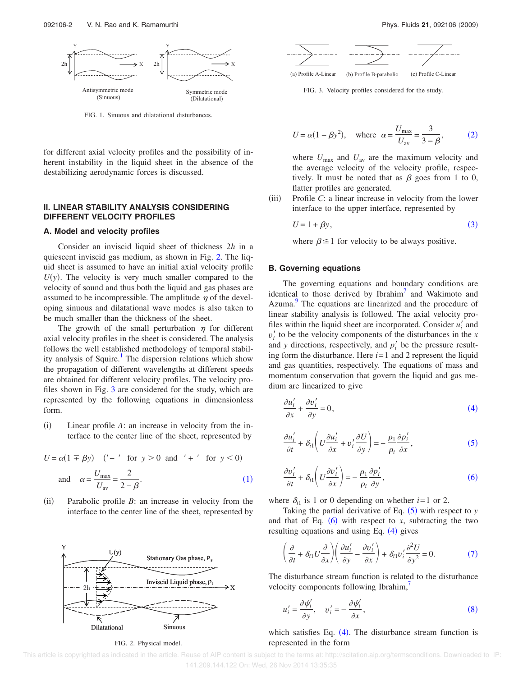

FIG. 1. Sinuous and dilatational disturbances.

for different axial velocity profiles and the possibility of inherent instability in the liquid sheet in the absence of the destabilizing aerodynamic forces is discussed.

## **II. LINEAR STABILITY ANALYSIS CONSIDERING DIFFERENT VELOCITY PROFILES**

#### **A. Model and velocity profiles**

Consider an inviscid liquid sheet of thickness 2*h* in a quiescent inviscid gas medium, as shown in Fig. 2. The liquid sheet is assumed to have an initial axial velocity profile  $U(y)$ . The velocity is very much smaller compared to the velocity of sound and thus both the liquid and gas phases are assumed to be incompressible. The amplitude  $\eta$  of the developing sinuous and dilatational wave modes is also taken to be much smaller than the thickness of the sheet.

The growth of the small perturbation  $\eta$  for different axial velocity profiles in the sheet is considered. The analysis follows the well established methodology of temporal stability analysis of Squire.<sup>1</sup> The dispersion relations which show the propagation of different wavelengths at different speeds are obtained for different velocity profiles. The velocity profiles shown in Fig. 3 are considered for the study, which are represented by the following equations in dimensionless form.

 $(i)$  Linear profile *A*: an increase in velocity from the interface to the center line of the sheet, represented by

$$
U = \alpha (1 \mp \beta y) \quad (' - ' \text{ for } y > 0 \text{ and ' + ' for } y < 0)
$$
  
and 
$$
\alpha = \frac{U_{\text{max}}}{U_{\text{av}}} = \frac{2}{2 - \beta}.
$$
 (1)

 $(ii)$  Parabolic profile *B*: an increase in velocity from the interface to the center line of the sheet, represented by



FIG. 2. Physical model.



$$
U = \alpha (1 - \beta y^2), \quad \text{where} \quad \alpha = \frac{U_{\text{max}}}{U_{\text{av}}} = \frac{3}{3 - \beta}, \tag{2}
$$

where  $U_{\text{max}}$  and  $U_{\text{av}}$  are the maximum velocity and the average velocity of the velocity profile, respectively. It must be noted that as  $\beta$  goes from 1 to 0, flatter profiles are generated.

 $(iii)$  Profile *C*: a linear increase in velocity from the lower interface to the upper interface, represented by

$$
U = 1 + \beta y,\tag{3}
$$

where  $\beta \leq 1$  for velocity to be always positive.

#### **B. Governing equations**

The governing equations and boundary conditions are identical to those derived by Ibrahim<sup>7</sup> and Wakimoto and Azuma.<sup>9</sup> The equations are linearized and the procedure of linear stability analysis is followed. The axial velocity profiles within the liquid sheet are incorporated. Consider  $u_i'$  and  $v_i'$  to be the velocity components of the disturbances in the *x* and *y* directions, respectively, and  $p_i'$  be the pressure resulting form the disturbance. Here *i*=1 and 2 represent the liquid and gas quantities, respectively. The equations of mass and momentum conservation that govern the liquid and gas medium are linearized to give

$$
\frac{\partial u_i'}{\partial x} + \frac{\partial v_i'}{\partial y} = 0,\tag{4}
$$

$$
\frac{\partial u_i'}{\partial t} + \delta_{i1} \left( U \frac{\partial u_i'}{\partial x} + v_i' \frac{\partial U}{\partial y} \right) = -\frac{\rho_1}{\rho_i} \frac{\partial p_i'}{\partial x},\tag{5}
$$

$$
\frac{\partial v_i'}{\partial t} + \delta_{i1} \left( U \frac{\partial v_i'}{\partial x} \right) = -\frac{\rho_1}{\rho_i} \frac{\partial p_i'}{\partial y},\tag{6}
$$

where  $\delta_{i1}$  is 1 or 0 depending on whether *i*=1 or 2.

Taking the partial derivative of Eq.  $(5)$  with respect to *y* and that of Eq.  $(6)$  with respect to *x*, subtracting the two resulting equations and using Eq.  $(4)$  gives

$$
\left(\frac{\partial}{\partial t} + \delta_{i1} U \frac{\partial}{\partial x}\right) \left(\frac{\partial u'_i}{\partial y} - \frac{\partial v'_i}{\partial x}\right) + \delta_{i1} v'_i \frac{\partial^2 U}{\partial y^2} = 0.
$$
 (7)

The disturbance stream function is related to the disturbance velocity components following Ibrahim,

$$
u'_{i} = \frac{\partial \psi'_{i}}{\partial y}, \quad v'_{i} = -\frac{\partial \psi'_{i}}{\partial x}, \tag{8}
$$

which satisfies Eq.  $(4)$ . The disturbance stream function is represented in the form

 This article is copyrighted as indicated in the article. Reuse of AIP content is subject to the terms at: http://scitation.aip.org/termsconditions. Downloaded to IP: 141.209.144.122 On: Wed, 26 Nov 2014 13:35:35

*vi*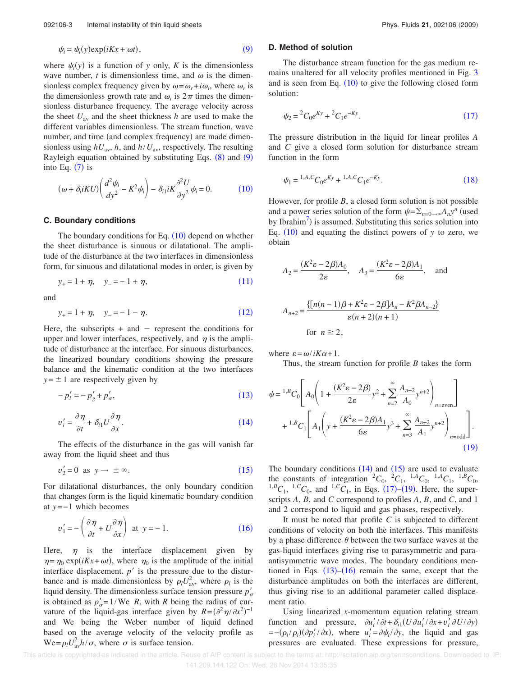$$
\psi_i = \psi_i(y) \exp(iKx + \omega t), \tag{9}
$$

where  $\psi_i(y)$  is a function of *y* only, *K* is the dimensionless wave number,  $t$  is dimensionless time, and  $\omega$  is the dimensionless complex frequency given by  $\omega = \omega_r + i\omega_i$ , where  $\omega_r$  is the dimensionless growth rate and  $\omega_i$  is  $2\pi$  times the dimensionless disturbance frequency. The average velocity across the sheet  $U_{av}$  and the sheet thickness *h* are used to make the different variables dimensionless. The stream function, wave number, and time (and complex frequency) are made dimensionless using  $hU_{av}$ , *h*, and  $h/U_{av}$ , respectively. The resulting Rayleigh equation obtained by substituting Eqs.  $(8)$  and  $(9)$ into Eq.  $(7)$  is

$$
(\omega + \delta_i K U) \left( \frac{d^2 \psi_i}{dy^2} - K^2 \psi_i \right) - \delta_{i1} i K \frac{\partial^2 U}{\partial y^2} \psi_i = 0.
$$
 (10)

#### **C. Boundary conditions**

The boundary conditions for Eq.  $(10)$  depend on whether the sheet disturbance is sinuous or dilatational. The amplitude of the disturbance at the two interfaces in dimensionless form, for sinuous and dilatational modes in order, is given by

$$
y_{+} = 1 + \eta, \quad y_{-} = -1 + \eta, \tag{11}
$$

and

$$
y_{+} = 1 + \eta, \quad y_{-} = -1 - \eta. \tag{12}
$$

Here, the subscripts  $+$  and  $-$  represent the conditions for upper and lower interfaces, respectively, and  $\eta$  is the amplitude of disturbance at the interface. For sinuous disturbances, the linearized boundary conditions showing the pressure balance and the kinematic condition at the two interfaces  $y = \pm 1$  are respectively given by

$$
-p'_{l} = -p'_{g} + p'_{\sigma}, \tag{13}
$$

$$
v_i' = \frac{\partial \eta}{\partial t} + \delta_{i1} U \frac{\partial \eta}{\partial x}.
$$
 (14)

The effects of the disturbance in the gas will vanish far away from the liquid sheet and thus

$$
v_2' = 0 \text{ as } y \to \pm \infty. \tag{15}
$$

For dilatational disturbances, the only boundary condition that changes form is the liquid kinematic boundary condition at *y*=−1 which becomes

$$
v_1' = -\left(\frac{\partial \eta}{\partial t} + U \frac{\partial \eta}{\partial x}\right) \text{ at } y = -1.
$$
 (16)

Here,  $\eta$  is the interface displacement given by  $\eta = \eta_0 \exp(iKx + \omega t)$ , where  $\eta_0$  is the amplitude of the initial interface displacement.  $p'$  is the pressure due to the disturbance and is made dimensionless by  $\rho_l U_{av}^2$ , where  $\rho_l$  is the liquid density. The dimensionless surface tension pressure  $p'_\text{g}$ is obtained as  $p'_\text{g} = 1/\text{We } R$ , with *R* being the radius of curvature of the liquid-gas interface given by  $R = (\partial^2 \eta / \partial x^2)^{-1}$ and We being the Weber number of liquid defined based on the average velocity of the velocity profile as  $\text{We} = \rho_l U_{av}^2 h / \sigma$ , where  $\sigma$  is surface tension.

#### **D. Method of solution**

The disturbance stream function for the gas medium remains unaltered for all velocity profiles mentioned in Fig. 3 and is seen from Eq.  $(10)$  to give the following closed form solution:

$$
\psi_2 = {}^2C_0 e^{Ky} + {}^2C_1 e^{-Ky}.\tag{17}
$$

The pressure distribution in the liquid for linear profiles *A* and *C* give a closed form solution for disturbance stream function in the form

$$
\psi_1 = {}^{1,A,C}C_0 e^{Ky} + {}^{1,A,C}C_1 e^{-Ky}.
$$
\n(18)

However, for profile *B*, a closed form solution is not possible and a power series solution of the form  $\psi = \sum_{n=0 \to \infty} A_n y^n$  (used by Ibrahim<sup>7</sup>) is assumed. Substituting this series solution into Eq. (10) and equating the distinct powers of *y* to zero, we obtain

$$
A_2 = \frac{(K^2 \varepsilon - 2\beta)A_0}{2\varepsilon}, \quad A_3 = \frac{(K^2 \varepsilon - 2\beta)A_1}{6\varepsilon}, \quad \text{and}
$$

$$
A_{n+2} = \frac{\{[n(n-1)\beta + K^2 \varepsilon - 2\beta]A_n - K^2 \beta A_{n-2}\}}{\varepsilon(n+2)(n+1)}
$$
for  $n \ge 2$ ,

where  $\varepsilon = \omega / iK\alpha + 1$ .

Thus, the stream function for profile *B* takes the form

$$
\psi = {}^{1,B}C_0 \left[ A_0 \left( 1 + \frac{(K^2 \varepsilon - 2\beta)}{2\varepsilon} y^2 + \sum_{n=2}^{\infty} \frac{A_{n+2}}{A_0} y^{n+2} \right)_{n=\text{even}} \right] + {}^{1,B}C_1 \left[ A_1 \left( y + \frac{(K^2 \varepsilon - 2\beta)A_1}{6\varepsilon} y^3 + \sum_{n=3}^{\infty} \frac{A_{n+2}}{A_1} y^{n+2} \right)_{n=\text{odd}} \right].
$$
\n(19)

The boundary conditions  $(14)$  and  $(15)$  are used to evaluate the constants of integration  ${}^2C_0$ ,  ${}^2C_1$ ,  ${}^{1,4}C_0$ ,  ${}^{1,4}C_1$ ,  ${}^{1,8}C_0$ , <sup>1,*B*</sup>*C*<sub>1</sub>, <sup>1,*C*</sup>*C*<sub>0</sub>, and <sup>1,*C*</sup>*C*<sub>1</sub>, in Eqs. (17)–(19). Here, the superscripts *A*, *B*, and *C* correspond to profiles *A*, *B*, and *C*, and 1 and 2 correspond to liquid and gas phases, respectively.

It must be noted that profile *C* is subjected to different conditions of velocity on both the interfaces. This manifests by a phase difference  $\theta$  between the two surface waves at the gas-liquid interfaces giving rise to parasymmetric and paraantisymmetric wave modes. The boundary conditions mentioned in Eqs.  $(13)$ – $(16)$  remain the same, except that the disturbance amplitudes on both the interfaces are different, thus giving rise to an additional parameter called displacement ratio.

Using linearized *x*-momentum equation relating stream function and pressure,  $\partial u_i' / \partial t + \delta_{i1} (U \partial u_i' / \partial x + v_i' \partial U / \partial y)$  $=-(\rho_l/\rho_i)(\partial p'_i/\partial x)$ , where  $u'_i = \partial \psi_i/\partial y$ , the liquid and gas pressures are evaluated. These expressions for pressure,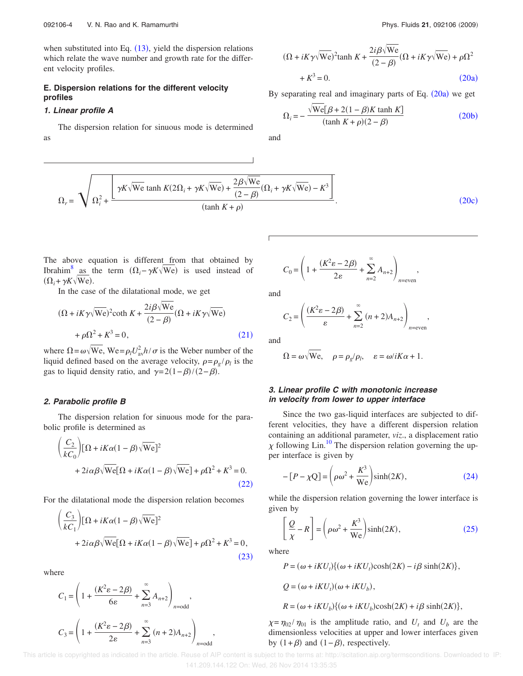when substituted into Eq.  $(13)$ , yield the dispersion relations which relate the wave number and growth rate for the different velocity profiles.

## **E. Dispersion relations for the different velocity profiles**

### **1. Linear profile A**

The dispersion relation for sinuous mode is determined as

$$
(\Omega + iK\gamma\sqrt{\text{We}})^2 \tanh K + \frac{2i\beta\sqrt{\text{We}}}{(2-\beta)}(\Omega + iK\gamma\sqrt{\text{We}}) + \rho\Omega^2
$$
  
+  $K^3 = 0$ . (20a)

By separating real and imaginary parts of Eq.  $(20a)$  we get

$$
\Omega_i = -\frac{\sqrt{\text{We}}[\beta + 2(1 - \beta)K \tanh K]}{(\tanh K + \rho)(2 - \beta)}
$$
\n(20b)

and

$$
\Omega_r = \sqrt{\Omega_i^2 + \frac{\left[\gamma K \sqrt{We} \tanh K (2\Omega_i + \gamma K \sqrt{We}) + \frac{2\beta \sqrt{We}}{(2-\beta)} (\Omega_i + \gamma K \sqrt{We}) - K^3\right]}{\left(\tanh K + \rho\right)}}.
$$
\n(20c)

The above equation is different from that obtained by Ibrahim<sup>8</sup> <u>as</u> the term  $(\Omega_i - \gamma K \sqrt{We})$  is used instead of  $(\Omega_i + \gamma K \sqrt{\text{We}})$ .

In the case of the dilatational mode, we get

$$
(\Omega + iK\gamma \sqrt{\text{We}})^2 \coth K + \frac{2i\beta \sqrt{\text{We}}}{(2-\beta)} (\Omega + iK\gamma \sqrt{\text{We}}) + \rho \Omega^2 + K^3 = 0,
$$
\n(21)

where  $\Omega = \omega \sqrt{We}$ ,  $We = \rho_l U_{av}^2 h / \sigma$  is the Weber number of the liquid defined based on the average velocity,  $\rho = \rho_g / \rho_l$  is the gas to liquid density ratio, and  $\gamma = 2(1-\beta)/(2-\beta)$ .

#### **2. Parabolic profile B**

The dispersion relation for sinuous mode for the parabolic profile is determined as

$$
\left(\frac{C_2}{kC_0}\right)[\Omega + iK\alpha(1-\beta)\sqrt{We}]^2
$$
  
+  $2i\alpha\beta\sqrt{We}[\Omega + iK\alpha(1-\beta)\sqrt{We}] + \rho\Omega^2 + K^3 = 0.$  (22)

For the dilatational mode the dispersion relation becomes

$$
\left(\frac{C_3}{kC_1}\right)[\Omega + iK\alpha(1-\beta)\sqrt{We}]^2
$$
  
+  $2i\alpha\beta\sqrt{We}[\Omega + iK\alpha(1-\beta)\sqrt{We}] + \rho\Omega^2 + K^3 = 0,$  (23)

where

$$
C_1 = \left(1 + \frac{(K^2 \varepsilon - 2\beta)}{6\varepsilon} + \sum_{n=3}^{\infty} A_{n+2}\right)_{n=\text{odd}},
$$
  

$$
C_3 = \left(1 + \frac{(K^2 \varepsilon - 2\beta)}{2\varepsilon} + \sum_{n=3}^{\infty} (n+2)A_{n+2}\right)_{n=\text{odd}}
$$

$$
C_0 = \left(1 + \frac{(K^2 \varepsilon - 2\beta)}{2\varepsilon} + \sum_{n=2}^{\infty} A_{n+2}\right)_{n=\text{even}},
$$

and

$$
C_2 = \left(\frac{(K^2\varepsilon - 2\beta)}{\varepsilon} + \sum_{n=2}^{\infty} (n+2)A_{n+2}\right)_{n=\text{even}}
$$

and

$$
\Omega = \omega \sqrt{\text{We}}, \quad \rho = \rho_g/\rho_l, \quad \varepsilon = \omega / iK\alpha + 1.
$$

## **3. Linear profile C with monotonic increase in velocity from lower to upper interface**

Since the two gas-liquid interfaces are subjected to different velocities, they have a different dispersion relation containing an additional parameter, *viz*., a displacement ratio  $\chi$  following Lin.<sup>10</sup> The dispersion relation governing the upper interface is given by

$$
-[P - \chi Q] = \left(\rho \omega^2 + \frac{K^3}{We}\right) \sinh(2K),\tag{24}
$$

while the dispersion relation governing the lower interface is given by

$$
\left[\frac{Q}{\chi} - R\right] = \left(\rho\omega^2 + \frac{K^3}{\text{We}}\right)\sinh(2K),\tag{25}
$$

where

$$
P = (\omega + iK U_t) \{ (\omega + iK U_t) \cosh(2K) - i\beta \sinh(2K) \},
$$

$$
Q = (\omega + iK U_t)(\omega + iK U_b),
$$

$$
R = (\omega + iKU_b)\{(\omega + iKU_b)\cosh(2K) + i\beta\sinh(2K)\},\
$$

 $\chi = \eta_{02} / \eta_{01}$  is the amplitude ratio, and  $U_t$  and  $U_b$  are the dimensionless velocities at upper and lower interfaces given by  $(1+\beta)$  and  $(1-\beta)$ , respectively.

 This article is copyrighted as indicated in the article. Reuse of AIP content is subject to the terms at: http://scitation.aip.org/termsconditions. Downloaded to IP: 141.209.144.122 On: Wed, 26 Nov 2014 13:35:35

,

,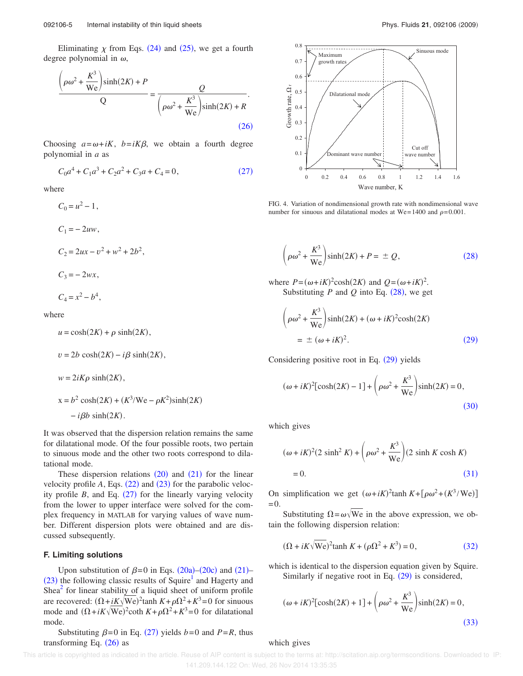Eliminating  $\chi$  from Eqs. (24) and (25), we get a fourth degree polynomial in  $\omega$ ,

$$
\frac{\left(\rho\omega^2 + \frac{K^3}{We}\right)\sinh(2K) + P}{Q} = \frac{Q}{\left(\rho\omega^2 + \frac{K^3}{We}\right)\sinh(2K) + R}.
$$
\n(26)

Choosing  $a = \omega + iK$ ,  $b = iK\beta$ , we obtain a fourth degree polynomial in *a* as

$$
C_0 a^4 + C_1 a^3 + C_2 a^2 + C_3 a + C_4 = 0,
$$
\n(27)

where

wh

$$
C_0 = u^2 - 1,
$$
  
\n
$$
C_1 = -2uw,
$$
  
\n
$$
C_2 = 2ux - v^2 + w^2 + 2b^2,
$$
  
\n
$$
C_3 = -2wx,
$$
  
\n
$$
C_4 = x^2 - b^4,
$$
  
\nhere  
\n
$$
u = \cosh(2K) + \rho \sinh(2K),
$$

$$
v = 2b \cosh(2K) - i\beta \sinh(2K),
$$
  
\n
$$
w = 2iK\rho \sinh(2K),
$$
  
\n
$$
x = b^2 \cosh(2K) + (K^3/\text{We} - \rho K^2)\sinh(2K) - i\beta b \sinh(2K).
$$

It was observed that the dispersion relation remains the same for dilatational mode. Of the four possible roots, two pertain to sinuous mode and the other two roots correspond to dilatational mode.

These dispersion relations  $(20)$  and  $(21)$  for the linear velocity profile  $A$ , Eqs.  $(22)$  and  $(23)$  for the parabolic velocity profile  $B$ , and Eq.  $(27)$  for the linearly varying velocity from the lower to upper interface were solved for the complex frequency in MATLAB for varying values of wave number. Different dispersion plots were obtained and are discussed subsequently.

#### **F. Limiting solutions**

Upon substitution of  $\beta = 0$  in Eqs. (20a)–(20c) and (21)–  $(23)$  the following classic results of Squire<sup>1</sup> and Hagerty and Shea<sup>2</sup> for linear stability of a liquid sheet of uniform profile are recovered:  $(\Omega + iK\sqrt{We})^2$ tanh  $K + \rho \Omega^2 + K^3 = 0$  for sinuous mode and  $(\Omega + iK\sqrt{We})^2 \coth K + \rho \Omega^2 + K^3 = 0$  for dilatational mode.

Substituting  $\beta = 0$  in Eq. (27) yields  $b = 0$  and  $P = R$ , thus transforming Eq.  $(26)$  as



FIG. 4. Variation of nondimensional growth rate with nondimensional wave number for sinuous and dilatational modes at We=1400 and  $\rho$ =0.001.

$$
\left(\rho\omega^2 + \frac{K^3}{\text{We}}\right)\sinh(2K) + P = \pm Q,\tag{28}
$$

where  $P = (\omega + iK)^2 \cosh(2K)$  and  $Q = (\omega + iK)^2$ . Substituting  $P$  and  $Q$  into Eq.  $(28)$ , we get

$$
\left(\rho\omega^2 + \frac{K^3}{We}\right)\sinh(2K) + (\omega + iK)^2 \cosh(2K)
$$

$$
= \pm (\omega + iK)^2.
$$
 (29)

Considering positive root in Eq.  $(29)$  yields

$$
(\omega + iK)^{2}[\cosh(2K) - 1] + \left(\rho\omega^{2} + \frac{K^{3}}{\text{We}}\right)\sinh(2K) = 0,
$$
\n(30)

which gives

$$
(\omega + iK)^{2}(2 \sinh^{2} K) + \left(\rho \omega^{2} + \frac{K^{3}}{\text{We}}\right)(2 \sinh K \cosh K)
$$
  
= 0. (31)

On simplification we get  $(\omega + iK)^2 \tanh K + [\rho \omega^2 + (K^3 / \text{We})]$  $=0.$ 

Substituting  $\Omega = \omega \sqrt{W}e$  in the above expression, we obtain the following dispersion relation:

$$
(\Omega + iK\sqrt{We})^2 \tanh K + (\rho \Omega^2 + K^3) = 0,
$$
\n(32)

which is identical to the dispersion equation given by Squire. Similarly if negative root in Eq.  $(29)$  is considered,

$$
(\omega + iK)^{2}[\cosh(2K) + 1] + \left(\rho\omega^{2} + \frac{K^{3}}{\text{We}}\right)\sinh(2K) = 0,
$$
\n(33)

### which gives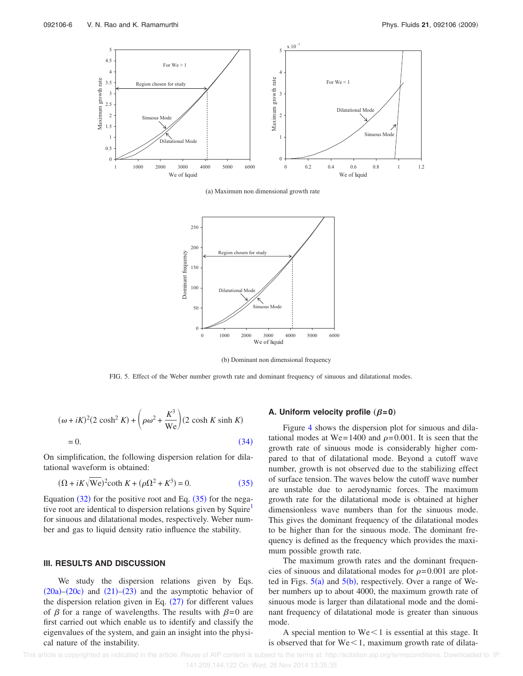

(a) Maximum non dimensional growth rate



(b) Dominant non dimensional frequency

FIG. 5. Effect of the Weber number growth rate and dominant frequency of sinuous and dilatational modes.

$$
(\omega + iK)^2 (2 \cosh^2 K) + \left(\rho \omega^2 + \frac{K^3}{\text{We}}\right) (2 \cosh K \sinh K)
$$
  
= 0. (34)

On simplification, the following dispersion relation for dilatational waveform is obtained:

$$
(\Omega + iK\sqrt{We})^2 \coth K + (\rho \Omega^2 + K^3) = 0.
$$
 (35)

Equation  $(32)$  for the positive root and Eq.  $(35)$  for the negative root are identical to dispersion relations given by Squire<sup>1</sup> for sinuous and dilatational modes, respectively. Weber number and gas to liquid density ratio influence the stability.

## **III. RESULTS AND DISCUSSION**

We study the dispersion relations given by Eqs.  $(20a)$ – $(20c)$  and  $(21)$ – $(23)$  and the asymptotic behavior of the dispersion relation given in Eq.  $(27)$  for different values of  $\beta$  for a range of wavelengths. The results with  $\beta=0$  are first carried out which enable us to identify and classify the eigenvalues of the system, and gain an insight into the physical nature of the instability.

### **A. Uniform velocity profile**  $(\beta=0)$

Figure 4 shows the dispersion plot for sinuous and dilatational modes at We=1400 and  $\rho$ =0.001. It is seen that the growth rate of sinuous mode is considerably higher compared to that of dilatational mode. Beyond a cutoff wave number, growth is not observed due to the stabilizing effect of surface tension. The waves below the cutoff wave number are unstable due to aerodynamic forces. The maximum growth rate for the dilatational mode is obtained at higher dimensionless wave numbers than for the sinuous mode. This gives the dominant frequency of the dilatational modes to be higher than for the sinuous mode. The dominant frequency is defined as the frequency which provides the maximum possible growth rate.

The maximum growth rates and the dominant frequencies of sinuous and dilatational modes for  $\rho = 0.001$  are plotted in Figs.  $5(a)$  and  $5(b)$ , respectively. Over a range of Weber numbers up to about 4000, the maximum growth rate of sinuous mode is larger than dilatational mode and the dominant frequency of dilatational mode is greater than sinuous mode.

A special mention to  $We < 1$  is essential at this stage. It is observed that for  $We < 1$ , maximum growth rate of dilata-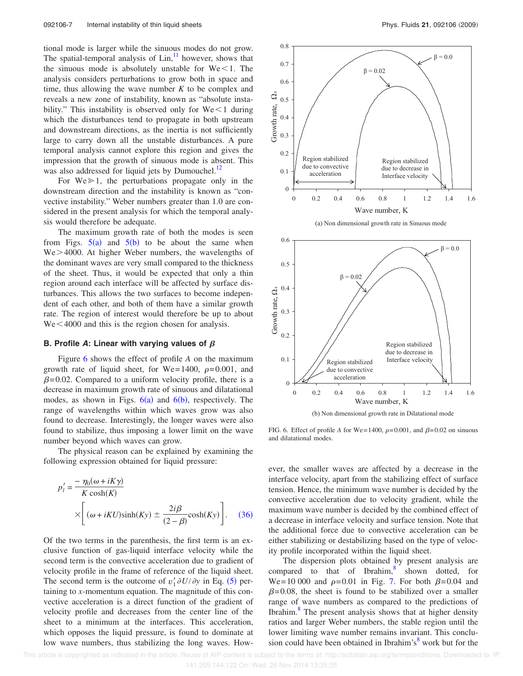tional mode is larger while the sinuous modes do not grow. The spatial-temporal analysis of  $Lin<sup>11</sup>$  however, shows that the sinuous mode is absolutely unstable for  $We < 1$ . The analysis considers perturbations to grow both in space and time, thus allowing the wave number *K* to be complex and reveals a new zone of instability, known as "absolute instability." This instability is observed only for  $We < 1$  during which the disturbances tend to propagate in both upstream and downstream directions, as the inertia is not sufficiently large to carry down all the unstable disturbances. A pure temporal analysis cannot explore this region and gives the impression that the growth of sinuous mode is absent. This was also addressed for liquid jets by Dumouchel. $^{12}$ 

For  $We \geq 1$ , the perturbations propagate only in the downstream direction and the instability is known as "convective instability." Weber numbers greater than 1.0 are considered in the present analysis for which the temporal analysis would therefore be adequate.

The maximum growth rate of both the modes is seen from Figs.  $5(a)$  and  $5(b)$  to be about the same when  $We > 4000$ . At higher Weber numbers, the wavelengths of the dominant waves are very small compared to the thickness of the sheet. Thus, it would be expected that only a thin region around each interface will be affected by surface disturbances. This allows the two surfaces to become independent of each other, and both of them have a similar growth rate. The region of interest would therefore be up to about  $We < 4000$  and this is the region chosen for analysis.

#### **B. Profile A: Linear with varying values of**  $\beta$

Figure 6 shows the effect of profile *A* on the maximum growth rate of liquid sheet, for We=1400,  $\rho$ =0.001, and  $\beta$ =0.02. Compared to a uniform velocity profile, there is a decrease in maximum growth rate of sinuous and dilatational modes, as shown in Figs.  $6(a)$  and  $6(b)$ , respectively. The range of wavelengths within which waves grow was also found to decrease. Interestingly, the longer waves were also found to stabilize, thus imposing a lower limit on the wave number beyond which waves can grow.

The physical reason can be explained by examining the following expression obtained for liquid pressure:

$$
p'_{l} = \frac{-\eta_{0}(\omega + iK\gamma)}{K\cosh(K)}
$$

$$
\times \left[ (\omega + iKU)\sinh(Ky) \pm \frac{2i\beta}{(2-\beta)}\cosh(Ky) \right].
$$
 (36)

Of the two terms in the parenthesis, the first term is an exclusive function of gas-liquid interface velocity while the second term is the convective acceleration due to gradient of velocity profile in the frame of reference of the liquid sheet. The second term is the outcome of  $v'_1 \partial U / \partial y$  in Eq. (5) pertaining to *x*-momentum equation. The magnitude of this convective acceleration is a direct function of the gradient of velocity profile and decreases from the center line of the sheet to a minimum at the interfaces. This acceleration, which opposes the liquid pressure, is found to dominate at low wave numbers, thus stabilizing the long waves. How-







FIG. 6. Effect of profile *A* for We=1400,  $\rho$ =0.001, and  $\beta$ =0.02 on sinuous and dilatational modes.

ever, the smaller waves are affected by a decrease in the interface velocity, apart from the stabilizing effect of surface tension. Hence, the minimum wave number is decided by the convective acceleration due to velocity gradient, while the maximum wave number is decided by the combined effect of a decrease in interface velocity and surface tension. Note that the additional force due to convective acceleration can be either stabilizing or destabilizing based on the type of velocity profile incorporated within the liquid sheet.

The dispersion plots obtained by present analysis are compared to that of Ibrahim, $8$  shown dotted, for We=10 000 and  $\rho$ =0.01 in Fig. 7. For both  $\beta$ =0.04 and  $\beta$ =0.08, the sheet is found to be stabilized over a smaller range of wave numbers as compared to the predictions of Ibrahim.<sup>8</sup> The present analysis shows that at higher density ratios and larger Weber numbers, the stable region until the lower limiting wave number remains invariant. This conclusion could have been obtained in Ibrahim's<sup>8</sup> work but for the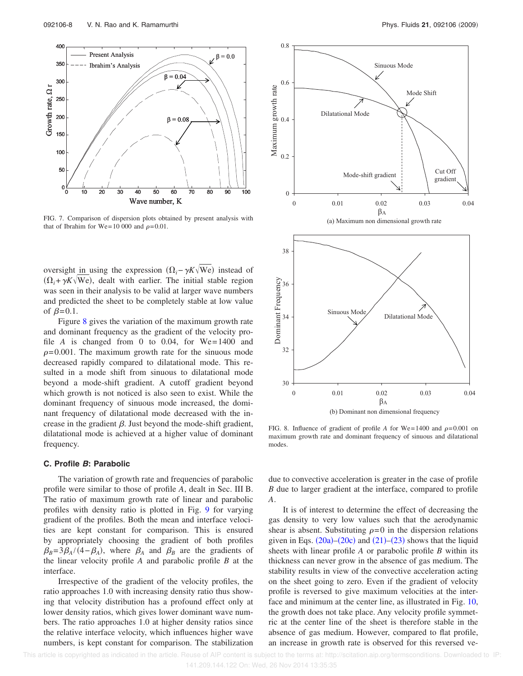

FIG. 7. Comparison of dispersion plots obtained by present analysis with that of Ibrahim for We=10 000 and  $\rho$ =0.01.

oversight <u>in</u> using the expression  $(\Omega_i - \gamma K \sqrt{We})$  instead of  $(\Omega_i + \gamma K \sqrt{W}e)$ , dealt with earlier. The initial stable region was seen in their analysis to be valid at larger wave numbers and predicted the sheet to be completely stable at low value of  $\beta$ =0.1.

Figure 8 gives the variation of the maximum growth rate and dominant frequency as the gradient of the velocity profile *A* is changed from 0 to 0.04, for We=1400 and  $\rho$ =0.001. The maximum growth rate for the sinuous mode decreased rapidly compared to dilatational mode. This resulted in a mode shift from sinuous to dilatational mode beyond a mode-shift gradient. A cutoff gradient beyond which growth is not noticed is also seen to exist. While the dominant frequency of sinuous mode increased, the dominant frequency of dilatational mode decreased with the increase in the gradient  $\beta$ . Just beyond the mode-shift gradient, dilatational mode is achieved at a higher value of dominant frequency.

#### **C. Profile B: Parabolic**

The variation of growth rate and frequencies of parabolic profile were similar to those of profile *A*, dealt in Sec. III B. The ratio of maximum growth rate of linear and parabolic profiles with density ratio is plotted in Fig. 9 for varying gradient of the profiles. Both the mean and interface velocities are kept constant for comparison. This is ensured by appropriately choosing the gradient of both profiles  $\beta_B = 3\beta_A/(4-\beta_A)$ , where  $\beta_A$  and  $\beta_B$  are the gradients of the linear velocity profile *A* and parabolic profile *B* at the interface.

Irrespective of the gradient of the velocity profiles, the ratio approaches 1.0 with increasing density ratio thus showing that velocity distribution has a profound effect only at lower density ratios, which gives lower dominant wave numbers. The ratio approaches 1.0 at higher density ratios since the relative interface velocity, which influences higher wave numbers, is kept constant for comparison. The stabilization



(b) Dominant non dimensional frequency

FIG. 8. Influence of gradient of profile *A* for We=1400 and  $\rho$ =0.001 on maximum growth rate and dominant frequency of sinuous and dilatational modes.

due to convective acceleration is greater in the case of profile *B* due to larger gradient at the interface, compared to profile *A*.

It is of interest to determine the effect of decreasing the gas density to very low values such that the aerodynamic shear is absent. Substituting  $\rho=0$  in the dispersion relations given in Eqs.  $(20a)$ – $(20c)$  and  $(21)$ – $(23)$  shows that the liquid sheets with linear profile *A* or parabolic profile *B* within its thickness can never grow in the absence of gas medium. The stability results in view of the convective acceleration acting on the sheet going to zero. Even if the gradient of velocity profile is reversed to give maximum velocities at the interface and minimum at the center line, as illustrated in Fig. 10, the growth does not take place. Any velocity profile symmetric at the center line of the sheet is therefore stable in the absence of gas medium. However, compared to flat profile, an increase in growth rate is observed for this reversed ve-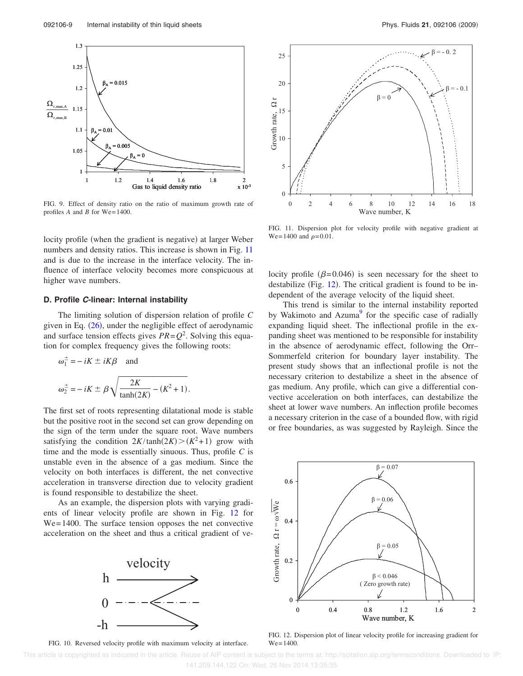

FIG. 9. Effect of density ratio on the ratio of maximum growth rate of profiles *A* and *B* for We=1400.

locity profile (when the gradient is negative) at larger Weber numbers and density ratios. This increase is shown in Fig. 11 and is due to the increase in the interface velocity. The influence of interface velocity becomes more conspicuous at higher wave numbers.

#### **D. Profile C-linear: Internal instability**

The limiting solution of dispersion relation of profile *C* given in Eq.  $(26)$ , under the negligible effect of aerodynamic and surface tension effects gives  $PR = Q^2$ . Solving this equation for complex frequency gives the following roots:

$$
\omega_1^{\pm} = -iK \pm iK\beta \quad \text{and}
$$
  

$$
\omega_2^{\pm} = -iK \pm \beta \sqrt{\frac{2K}{\tanh(2K)} - (K^2 + 1)}.
$$

The first set of roots representing dilatational mode is stable but the positive root in the second set can grow depending on the sign of the term under the square root. Wave numbers satisfying the condition  $2K/\tanh(2K)$   $\geq$   $(K^2+1)$  grow with time and the mode is essentially sinuous. Thus, profile *C* is unstable even in the absence of a gas medium. Since the velocity on both interfaces is different, the net convective acceleration in transverse direction due to velocity gradient is found responsible to destabilize the sheet.

As an example, the dispersion plots with varying gradients of linear velocity profile are shown in Fig. 12 for We=1400. The surface tension opposes the net convective acceleration on the sheet and thus a critical gradient of ve-







FIG. 11. Dispersion plot for velocity profile with negative gradient at We=1400 and  $\rho$ =0.01.

locity profile ( $\beta$ =0.046) is seen necessary for the sheet to destabilize (Fig.  $12$ ). The critical gradient is found to be independent of the average velocity of the liquid sheet.

This trend is similar to the internal instability reported by Wakimoto and Azuma<sup>9</sup> for the specific case of radially expanding liquid sheet. The inflectional profile in the expanding sheet was mentioned to be responsible for instability in the absence of aerodynamic effect, following the Orr– Sommerfeld criterion for boundary layer instability. The present study shows that an inflectional profile is not the necessary criterion to destabilize a sheet in the absence of gas medium. Any profile, which can give a differential convective acceleration on both interfaces, can destabilize the sheet at lower wave numbers. An inflection profile becomes a necessary criterion in the case of a bounded flow, with rigid or free boundaries, as was suggested by Rayleigh. Since the



FIG. 12. Dispersion plot of linear velocity profile for increasing gradient for We=1400.